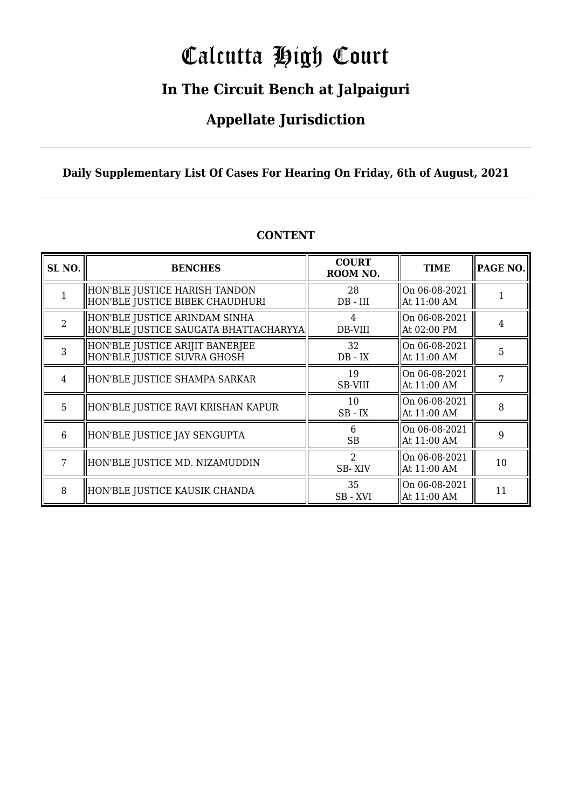# Calcutta High Court

### **In The Circuit Bench at Jalpaiguri**

### **Appellate Jurisdiction**

### **Daily Supplementary List Of Cases For Hearing On Friday, 6th of August, 2021**

| SL <sub>NO.</sub> | <b>BENCHES</b>                                                         | <b>COURT</b><br>ROOM NO.       | <b>TIME</b>                  | PAGE NO. |
|-------------------|------------------------------------------------------------------------|--------------------------------|------------------------------|----------|
|                   | HON'BLE JUSTICE HARISH TANDON<br>HON'BLE JUSTICE BIBEK CHAUDHURI       | 28<br>$DB$ - $III$             | On 06-08-2021<br>At 11:00 AM |          |
| $\overline{2}$    | HON'BLE JUSTICE ARINDAM SINHA<br>HON'BLE JUSTICE SAUGATA BHATTACHARYYA | DB-VIII                        | On 06-08-2021<br>At 02:00 PM | 4        |
| $\overline{3}$    | HON'BLE JUSTICE ARIJIT BANERJEE<br>HON'BLE JUSTICE SUVRA GHOSH         | 32<br>$DB - IX$                | On 06-08-2021<br>At 11:00 AM | 5        |
| $\overline{4}$    | HON'BLE JUSTICE SHAMPA SARKAR                                          | 19<br>SB-VIII                  | On 06-08-2021<br>At 11:00 AM |          |
| 5                 | HON'BLE JUSTICE RAVI KRISHAN KAPUR                                     | 10<br>$SB$ - $IX$              | On 06-08-2021<br>At 11:00 AM | 8        |
| 6                 | HON'BLE JUSTICE JAY SENGUPTA                                           | 6<br><b>SB</b>                 | On 06-08-2021<br>At 11:00 AM | 9        |
| 7                 | HON'BLE JUSTICE MD. NIZAMUDDIN                                         | $\mathcal{D}$<br><b>SB-XIV</b> | On 06-08-2021<br>At 11:00 AM | 10       |
| 8                 | HON'BLE JUSTICE KAUSIK CHANDA                                          | 35<br>SB-XVI                   | On 06-08-2021<br>At 11:00 AM | 11       |

### **CONTENT**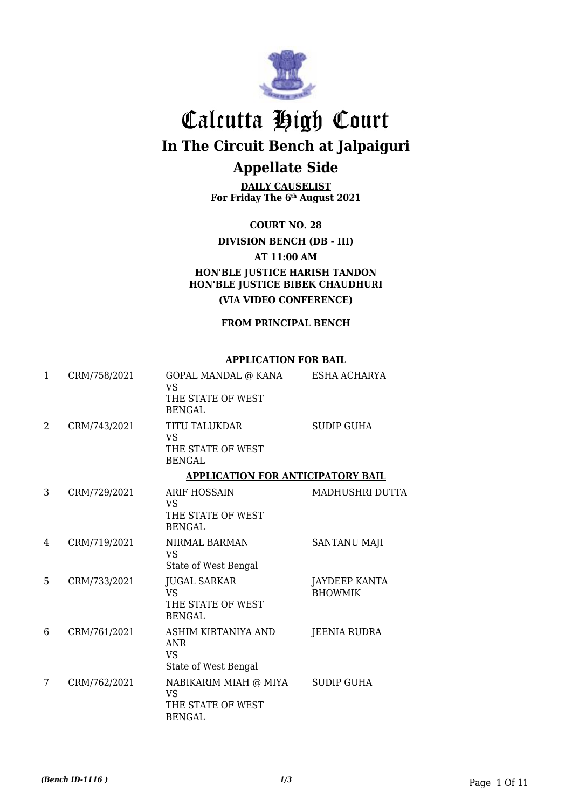

**DAILY CAUSELIST For Friday The 6th August 2021**

**COURT NO. 28**

**DIVISION BENCH (DB - III)**

**AT 11:00 AM**

**HON'BLE JUSTICE HARISH TANDON HON'BLE JUSTICE BIBEK CHAUDHURI (VIA VIDEO CONFERENCE)**

**FROM PRINCIPAL BENCH**

#### **APPLICATION FOR BAIL**

| 1              | CRM/758/2021 | GOPAL MANDAL @ KANA<br><b>VS</b>                                         | ESHA ACHARYA                           |
|----------------|--------------|--------------------------------------------------------------------------|----------------------------------------|
|                |              | THE STATE OF WEST<br><b>BENGAL</b>                                       |                                        |
| $\mathfrak{D}$ | CRM/743/2021 | <b>TITU TALUKDAR</b><br><b>VS</b>                                        | <b>SUDIP GUHA</b>                      |
|                |              | THE STATE OF WEST<br><b>BENGAL</b>                                       |                                        |
|                |              | <b>APPLICATION FOR ANTICIPATORY BAIL</b>                                 |                                        |
| 3              | CRM/729/2021 | <b>ARIF HOSSAIN</b><br><b>VS</b>                                         | MADHUSHRI DUTTA                        |
|                |              | THE STATE OF WEST<br><b>BENGAL</b>                                       |                                        |
| 4              | CRM/719/2021 | NIRMAL BARMAN<br><b>VS</b>                                               | <b>SANTANU MAJI</b>                    |
|                |              | State of West Bengal                                                     |                                        |
| 5              | CRM/733/2021 | <b>JUGAL SARKAR</b><br><b>VS</b><br>THE STATE OF WEST<br><b>BENGAL</b>   | <b>JAYDEEP KANTA</b><br><b>BHOWMIK</b> |
| 6              | CRM/761/2021 | ASHIM KIRTANIYA AND<br><b>ANR</b><br><b>VS</b><br>State of West Bengal   | <b>JEENIA RUDRA</b>                    |
| 7              | CRM/762/2021 | NABIKARIM MIAH @ MIYA<br><b>VS</b><br>THE STATE OF WEST<br><b>BENGAL</b> | SUDIP GUHA                             |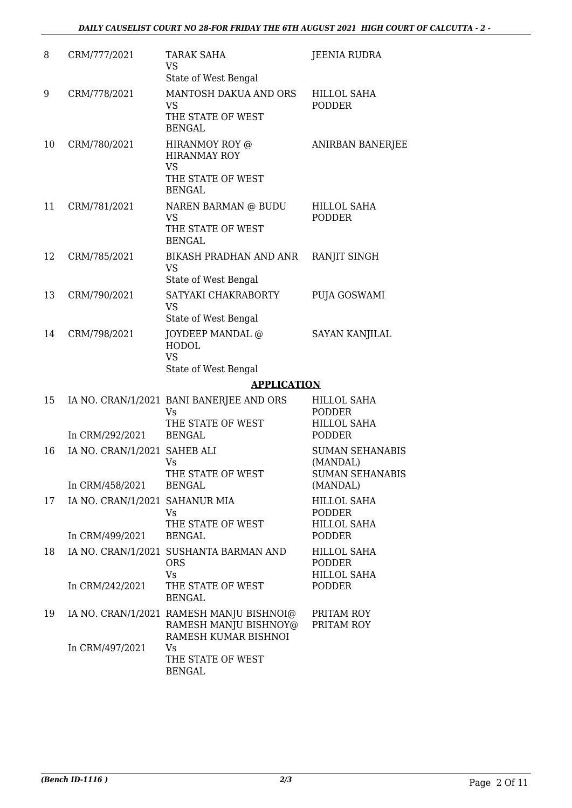| 8  | CRM/777/2021                   | TARAK SAHA<br><b>VS</b><br>State of West Bengal                                           | <b>JEENIA RUDRA</b>                                          |
|----|--------------------------------|-------------------------------------------------------------------------------------------|--------------------------------------------------------------|
| 9  | CRM/778/2021                   | MANTOSH DAKUA AND ORS<br><b>VS</b><br>THE STATE OF WEST<br><b>BENGAL</b>                  | HILLOL SAHA<br><b>PODDER</b>                                 |
| 10 | CRM/780/2021                   | HIRANMOY ROY @<br><b>HIRANMAY ROY</b><br><b>VS</b><br>THE STATE OF WEST<br><b>BENGAL</b>  | <b>ANIRBAN BANERJEE</b>                                      |
| 11 | CRM/781/2021                   | NAREN BARMAN @ BUDU<br><b>VS</b><br>THE STATE OF WEST<br><b>BENGAL</b>                    | HILLOL SAHA<br><b>PODDER</b>                                 |
| 12 | CRM/785/2021                   | BIKASH PRADHAN AND ANR<br><b>VS</b><br>State of West Bengal                               | RANJIT SINGH                                                 |
| 13 | CRM/790/2021                   | SATYAKI CHAKRABORTY<br><b>VS</b><br>State of West Bengal                                  | PUJA GOSWAMI                                                 |
| 14 | CRM/798/2021                   | JOYDEEP MANDAL @<br><b>HODOL</b><br><b>VS</b><br>State of West Bengal                     | <b>SAYAN KANJILAL</b>                                        |
|    |                                | <b>APPLICATION</b>                                                                        |                                                              |
| 15 |                                | IA NO. CRAN/1/2021 BANI BANERJEE AND ORS<br>Vs                                            | HILLOL SAHA<br><b>PODDER</b>                                 |
|    | In CRM/292/2021                | THE STATE OF WEST<br><b>BENGAL</b>                                                        | <b>HILLOL SAHA</b><br><b>PODDER</b>                          |
| 16 | IA NO. CRAN/1/2021 SAHEB ALI   | Vs<br>THE STATE OF WEST                                                                   | <b>SUMAN SEHANABIS</b><br>(MANDAL)<br><b>SUMAN SEHANABIS</b> |
|    | In CRM/458/2021                | BENGAL                                                                                    | (MANDAL)                                                     |
| 17 | IA NO. CRAN/1/2021 SAHANUR MIA | Vs<br>THE STATE OF WEST                                                                   | <b>HILLOL SAHA</b><br><b>PODDER</b><br><b>HILLOL SAHA</b>    |
|    | In CRM/499/2021                | <b>BENGAL</b>                                                                             | <b>PODDER</b>                                                |
| 18 |                                | IA NO. CRAN/1/2021 SUSHANTA BARMAN AND<br><b>ORS</b><br><b>Vs</b>                         | <b>HILLOL SAHA</b><br><b>PODDER</b><br><b>HILLOL SAHA</b>    |
|    | In CRM/242/2021                | THE STATE OF WEST<br><b>BENGAL</b>                                                        | <b>PODDER</b>                                                |
| 19 |                                | IA NO. CRAN/1/2021 RAMESH MANJU BISHNOI@<br>RAMESH MANJU BISHNOY@<br>RAMESH KUMAR BISHNOI | PRITAM ROY<br>PRITAM ROY                                     |
|    | In CRM/497/2021                | Vs<br>THE STATE OF WEST<br><b>BENGAL</b>                                                  |                                                              |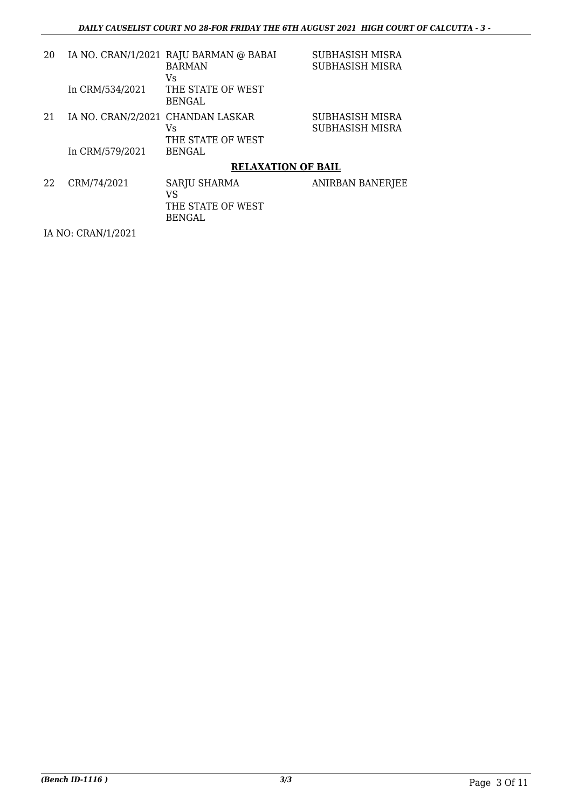| 20 |                                   | IA NO. CRAN/1/2021 RAJU BARMAN @ BABAI<br><b>BARMAN</b><br>Vs | <b>SUBHASISH MISRA</b><br>SUBHASISH MISRA |
|----|-----------------------------------|---------------------------------------------------------------|-------------------------------------------|
|    | In CRM/534/2021                   | THE STATE OF WEST<br><b>BENGAL</b>                            |                                           |
| 21 | IA NO. CRAN/2/2021 CHANDAN LASKAR | Vs<br>THE STATE OF WEST                                       | SUBHASISH MISRA<br>SUBHASISH MISRA        |
|    | In CRM/579/2021                   | <b>BENGAL</b>                                                 |                                           |
|    |                                   | <b>RELAXATION OF BAIL</b>                                     |                                           |
| 22 | CRM/74/2021                       | <b>SARJU SHARMA</b><br>VS<br>THE STATE OF WEST<br>BENGAL      | <b>ANIRBAN BANERJEE</b>                   |

IA NO: CRAN/1/2021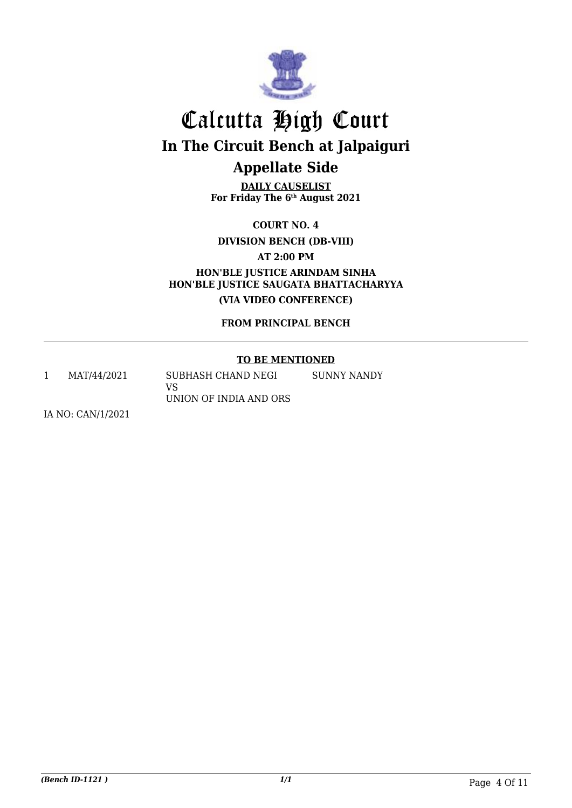

**DAILY CAUSELIST For Friday The 6th August 2021**

**COURT NO. 4**

**DIVISION BENCH (DB-VIII)**

**AT 2:00 PM**

**HON'BLE JUSTICE ARINDAM SINHA HON'BLE JUSTICE SAUGATA BHATTACHARYYA (VIA VIDEO CONFERENCE)**

**FROM PRINCIPAL BENCH**

#### **TO BE MENTIONED**

1 MAT/44/2021 SUBHASH CHAND NEGI VS UNION OF INDIA AND ORS SUNNY NANDY

IA NO: CAN/1/2021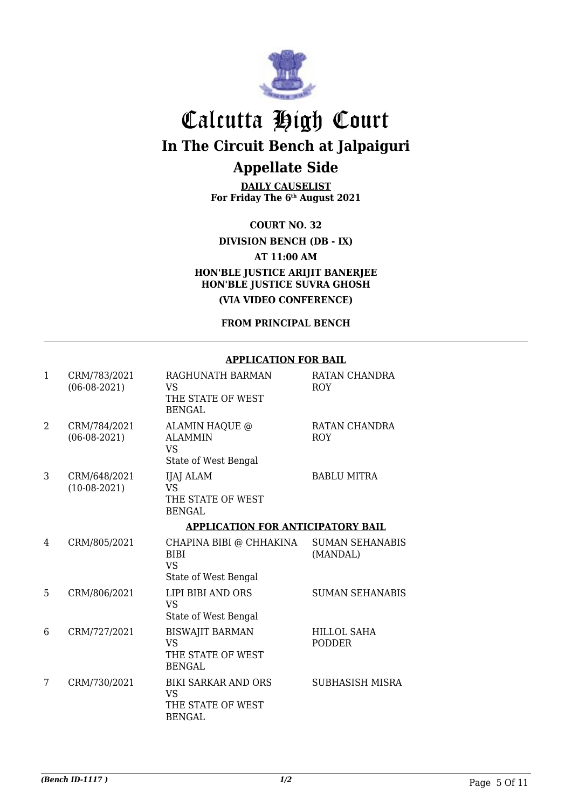

**DAILY CAUSELIST For Friday The 6th August 2021**

**COURT NO. 32**

**DIVISION BENCH (DB - IX)**

**AT 11:00 AM**

**HON'BLE JUSTICE ARIJIT BANERJEE HON'BLE JUSTICE SUVRA GHOSH**

**(VIA VIDEO CONFERENCE)**

**FROM PRINCIPAL BENCH**

#### **APPLICATION FOR BAIL**

| 1              | CRM/783/2021<br>$(06-08-2021)$ | RAGHUNATH BARMAN<br>VS<br>THE STATE OF WEST<br><b>BENGAL</b>                  | RATAN CHANDRA<br><b>ROY</b>         |
|----------------|--------------------------------|-------------------------------------------------------------------------------|-------------------------------------|
| $\mathfrak{D}$ | CRM/784/2021<br>$(06-08-2021)$ | ALAMIN HAQUE @<br><b>ALAMMIN</b><br><b>VS</b><br>State of West Bengal         | RATAN CHANDRA<br><b>ROY</b>         |
| 3              | CRM/648/2021<br>$(10-08-2021)$ | IJAJ ALAM<br><b>VS</b><br>THE STATE OF WEST<br><b>BENGAL</b>                  | <b>BABLU MITRA</b>                  |
|                |                                | <b>APPLICATION FOR ANTICIPATORY BAIL</b>                                      |                                     |
| 4              | CRM/805/2021                   | CHAPINA BIBI @ CHHAKINA<br><b>BIBI</b><br><b>VS</b><br>State of West Bengal   | <b>SUMAN SEHANABIS</b><br>(MANDAL)  |
| 5              | CRM/806/2021                   | LIPI BIBI AND ORS<br><b>VS</b><br>State of West Bengal                        | <b>SUMAN SEHANABIS</b>              |
| 6              | CRM/727/2021                   | <b>BISWAJIT BARMAN</b><br><b>VS</b><br>THE STATE OF WEST<br><b>BENGAL</b>     | <b>HILLOL SAHA</b><br><b>PODDER</b> |
| 7              | CRM/730/2021                   | <b>BIKI SARKAR AND ORS</b><br><b>VS</b><br>THE STATE OF WEST<br><b>BENGAL</b> | <b>SUBHASISH MISRA</b>              |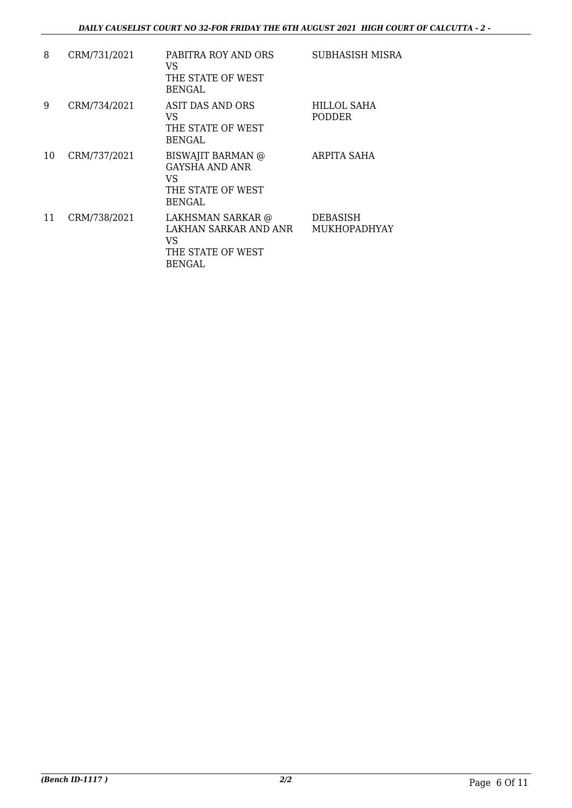| 8  | CRM/731/2021 | PABITRA ROY AND ORS<br>VS.<br>THE STATE OF WEST                                 | SUBHASISH MISRA                 |
|----|--------------|---------------------------------------------------------------------------------|---------------------------------|
|    |              | <b>BENGAL</b>                                                                   |                                 |
| 9  | CRM/734/2021 | ASIT DAS AND ORS<br>VS<br>THE STATE OF WEST<br><b>BENGAL</b>                    | HILLOL SAHA<br><b>PODDER</b>    |
| 10 | CRM/737/2021 | BISWAJIT BARMAN @<br>GAYSHA AND ANR<br>VS<br>THE STATE OF WEST<br><b>BENGAL</b> | ARPITA SAHA                     |
| 11 | CRM/738/2021 | LAKHSMAN SARKAR @<br>LAKHAN SARKAR AND ANR<br>VS<br>THE STATE OF WEST<br>BENGAL | DEBASISH<br><b>MUKHOPADHYAY</b> |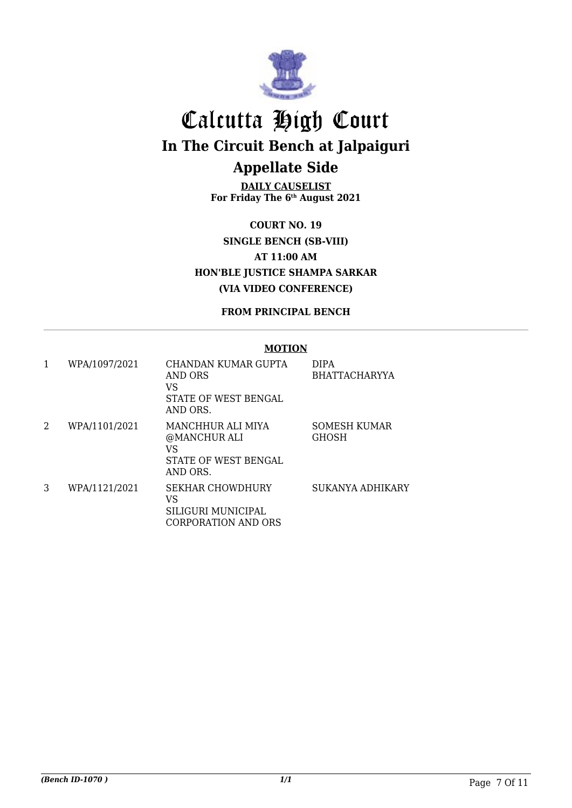

**DAILY CAUSELIST For Friday The 6th August 2021**

**COURT NO. 19 SINGLE BENCH (SB-VIII) AT 11:00 AM HON'BLE JUSTICE SHAMPA SARKAR (VIA VIDEO CONFERENCE)**

**FROM PRINCIPAL BENCH**

#### **MOTION**

| 1 | WPA/1097/2021 | CHANDAN KUMAR GUPTA<br>AND ORS<br>VS<br>STATE OF WEST BENGAL<br>AND ORS.    | <b>DIPA</b><br><b>BHATTACHARYYA</b> |
|---|---------------|-----------------------------------------------------------------------------|-------------------------------------|
| 2 | WPA/1101/2021 | MANCHHUR ALI MIYA<br>@MANCHUR ALI<br>VS<br>STATE OF WEST BENGAL<br>AND ORS. | <b>SOMESH KUMAR</b><br><b>GHOSH</b> |
| 3 | WPA/1121/2021 | <b>SEKHAR CHOWDHURY</b><br>VS<br>SILIGURI MUNICIPAL<br>CORPORATION AND ORS  | SUKANYA ADHIKARY                    |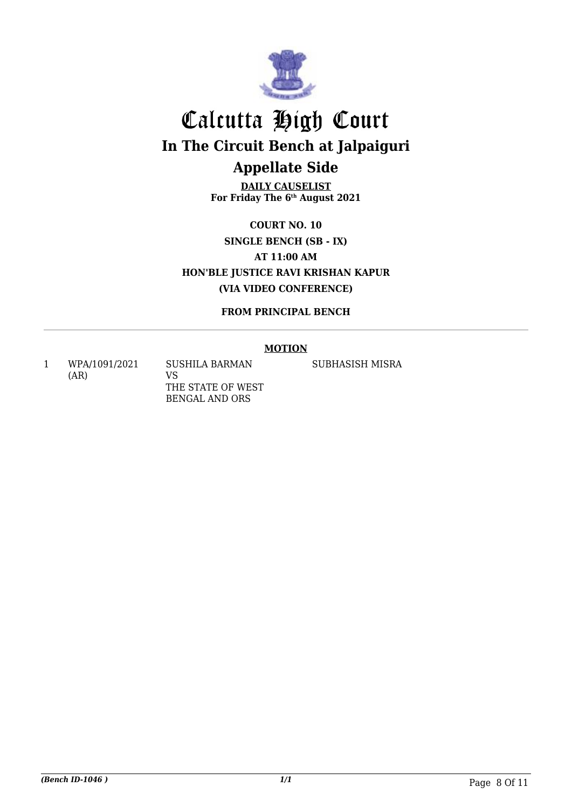

**DAILY CAUSELIST For Friday The 6th August 2021**

**COURT NO. 10 SINGLE BENCH (SB - IX) AT 11:00 AM HON'BLE JUSTICE RAVI KRISHAN KAPUR (VIA VIDEO CONFERENCE)**

**FROM PRINCIPAL BENCH**

#### **MOTION**

1 WPA/1091/2021 (AR) SUSHILA BARMAN VS

THE STATE OF WEST BENGAL AND ORS

SUBHASISH MISRA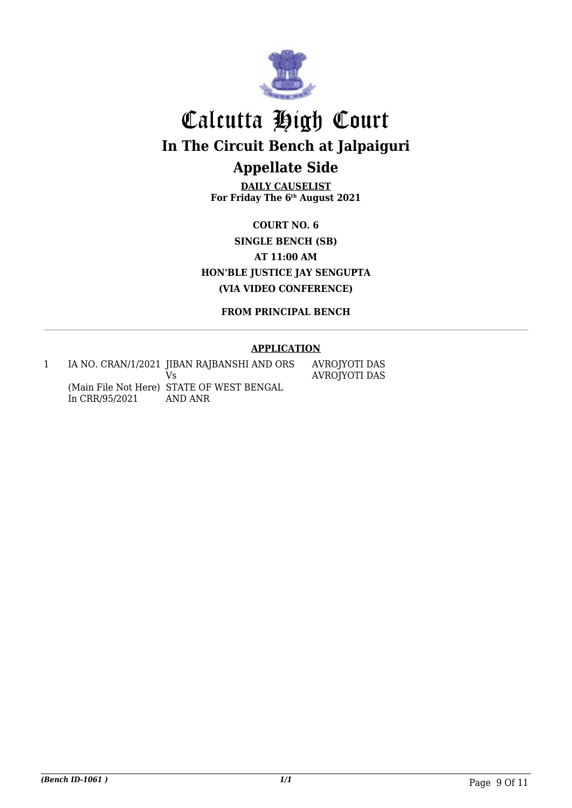

**DAILY CAUSELIST For Friday The 6th August 2021**

**COURT NO. 6 SINGLE BENCH (SB) AT 11:00 AM HON'BLE JUSTICE JAY SENGUPTA (VIA VIDEO CONFERENCE)**

**FROM PRINCIPAL BENCH**

#### **APPLICATION**

1 IA NO. CRAN/1/2021 JIBAN RAJBANSHI AND ORS (Main File Not Here) STATE OF WEST BENGAL In CRR/95/2021 Vs AND ANR AVROJYOTI DAS AVROJYOTI DAS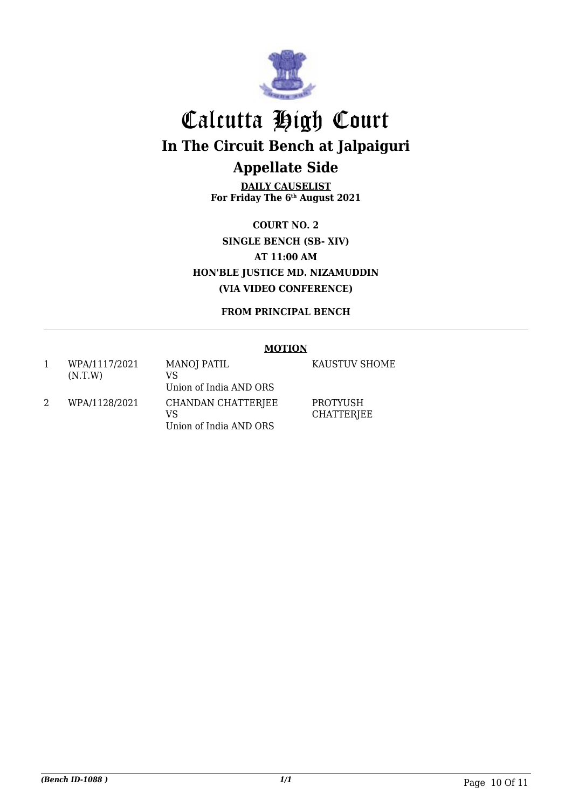

**DAILY CAUSELIST For Friday The 6th August 2021**

**COURT NO. 2 SINGLE BENCH (SB- XIV) AT 11:00 AM HON'BLE JUSTICE MD. NIZAMUDDIN (VIA VIDEO CONFERENCE)**

**FROM PRINCIPAL BENCH**

#### **MOTION**

1 WPA/1117/2021 (N.T.W) MANOJ PATIL VS Union of India AND ORS 2 WPA/1128/2021 CHANDAN CHATTERJEE VS Union of India AND ORS

KAUSTUV SHOME

PROTYUSH **CHATTERJEE**